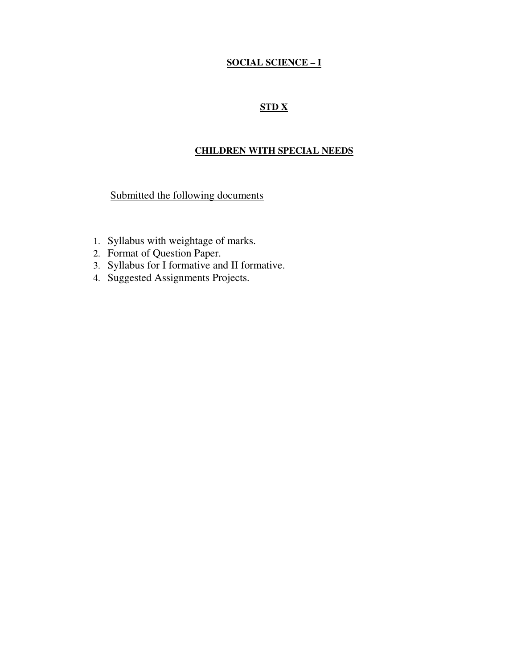#### **SOCIAL SCIENCE – I**

#### **STD X**

#### **CHILDREN WITH SPECIAL NEEDS**

Submitted the following documents

- 1. Syllabus with weightage of marks.
- 2. Format of Question Paper.
- 3. Syllabus for I formative and II formative.
- 4. Suggested Assignments Projects.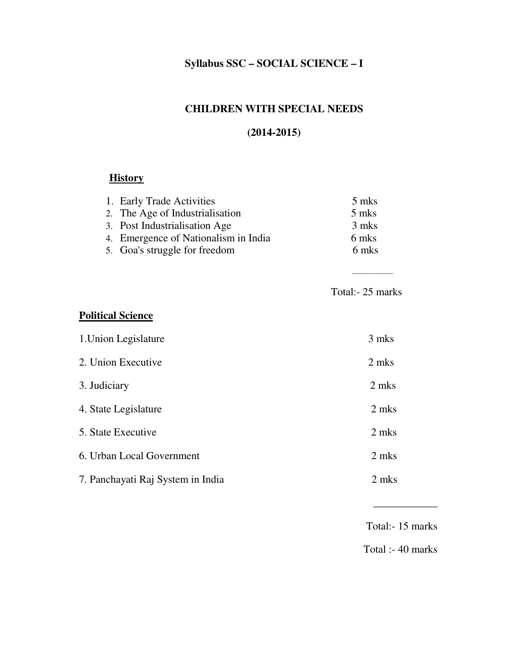### **Syllabus SSC – SOCIAL SCIENCE – I**

# **CHILDREN WITH SPECIAL NEEDS**

#### **(2014-2015)**

#### **History**

| 1. Early Trade Activities            | 5 mks |
|--------------------------------------|-------|
| 2. The Age of Industrialisation      | 5 mks |
| 3. Post Industrialisation Age        | 3 mks |
| 4. Emergence of Nationalism in India | 6 mks |
| 5. Goa's struggle for freedom        | 6 mks |

 $\mathcal{L}_\text{max}$  and  $\mathcal{L}_\text{max}$  are the set of the set of the set of the set of the set of the set of the set of the set of the set of the set of the set of the set of the set of the set of the set of the set of the set o

#### Total:- 25 marks

#### **Political Science**

1. Union Legislature 3 mks 2. Union Executive 2 mks 3. Judiciary 2 mks 4. State Legislature 2 mks 5. State Executive 2 mks 6. Urban Local Government 2 mks 7. Panchayati Raj System in India 2 mks

Total:- 15 marks

 $\overline{\phantom{a}}$  , where  $\overline{\phantom{a}}$ 

Total :- 40 marks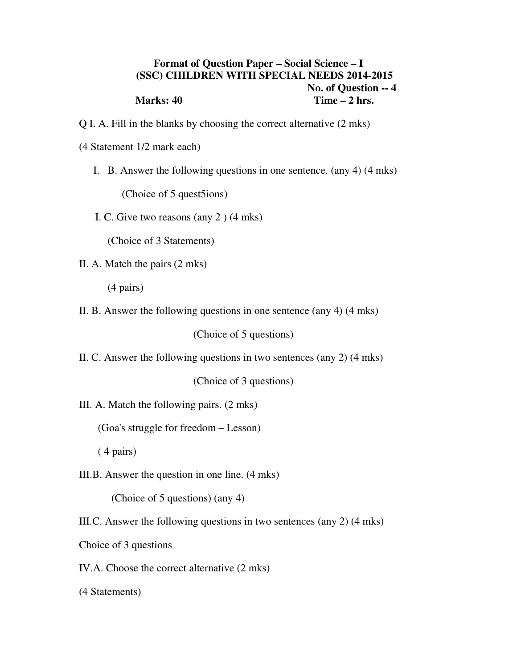### **Format of Question Paper – Social Science – I (SSC) CHILDREN WITH SPECIAL NEEDS 2014-2015 No. of Question -- 4 Marks: 40 Time – 2 hrs.**

- Q I. A. Fill in the blanks by choosing the correct alternative (2 mks)
- (4 Statement 1/2 mark each)
	- I. B. Answer the following questions in one sentence. (any 4) (4 mks)

(Choice of 5 quest5ions)

I. C. Give two reasons (any 2 ) (4 mks)

(Choice of 3 Statements)

II. A. Match the pairs (2 mks)

(4 pairs)

II. B. Answer the following questions in one sentence (any 4) (4 mks)

(Choice of 5 questions)

II. C. Answer the following questions in two sentences (any 2) (4 mks)

(Choice of 3 questions)

III. A. Match the following pairs. (2 mks)

(Goa's struggle for freedom – Lesson)

( 4 pairs)

III.B. Answer the question in one line. (4 mks)

(Choice of 5 questions) (any 4)

III.C. Answer the following questions in two sentences (any 2) (4 mks)

Choice of 3 questions

IV.A. Choose the correct alternative (2 mks)

(4 Statements)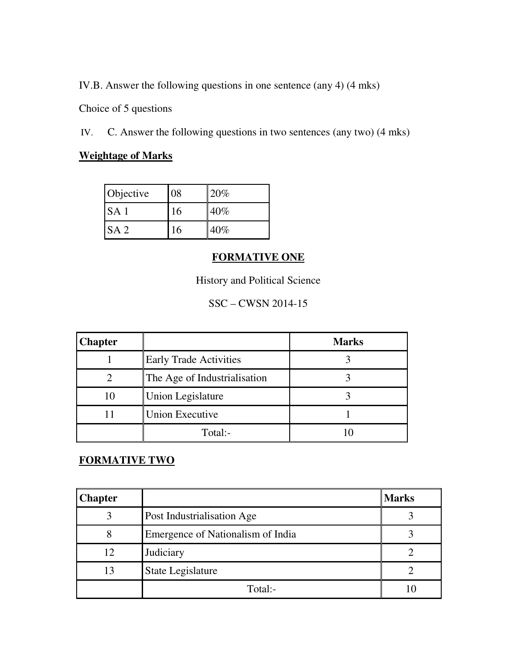IV.B. Answer the following questions in one sentence (any 4) (4 mks)

Choice of 5 questions

IV. C. Answer the following questions in two sentences (any two) (4 mks)

#### **Weightage of Marks**

| Objective       | 08 | 20%    |
|-----------------|----|--------|
| SA <sub>1</sub> |    | 40%    |
| SA <sub>2</sub> |    | $40\%$ |

# **FORMATIVE ONE**

History and Political Science

SSC – CWSN 2014-15

| <b>Chapter</b> |                               | <b>Marks</b> |
|----------------|-------------------------------|--------------|
|                | <b>Early Trade Activities</b> |              |
|                | The Age of Industrialisation  |              |
| 10             | <b>Union Legislature</b>      |              |
|                | <b>Union Executive</b>        |              |
|                | Total:-                       |              |

# **FORMATIVE TWO**

| <b>Chapter</b> |                                   | <b>Marks</b> |
|----------------|-----------------------------------|--------------|
| 3              | Post Industrialisation Age        |              |
| 8              | Emergence of Nationalism of India |              |
| 12             | Judiciary                         |              |
| 13             | State Legislature                 |              |
|                | Total:-                           |              |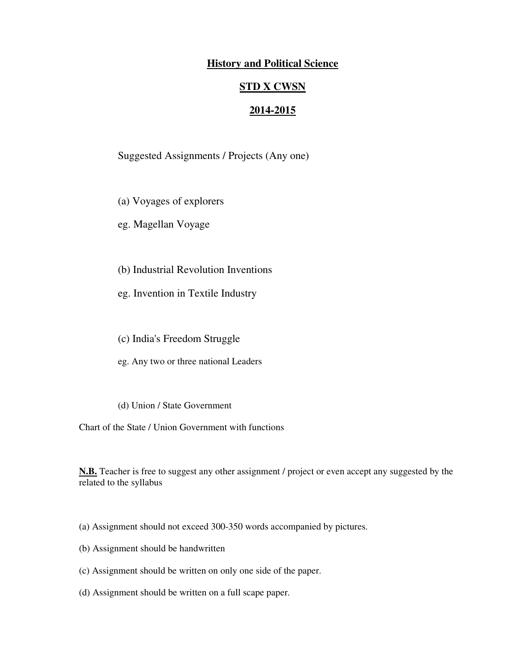#### **History and Political Science**

#### **STD X CWSN**

#### **2014-2015**

Suggested Assignments / Projects (Any one)

- (a) Voyages of explorers
- eg. Magellan Voyage
- (b) Industrial Revolution Inventions
- eg. Invention in Textile Industry
- (c) India's Freedom Struggle
- eg. Any two or three national Leaders
- (d) Union / State Government

Chart of the State / Union Government with functions

**N.B.** Teacher is free to suggest any other assignment / project or even accept any suggested by the related to the syllabus

- (a) Assignment should not exceed 300-350 words accompanied by pictures.
- (b) Assignment should be handwritten
- (c) Assignment should be written on only one side of the paper.
- (d) Assignment should be written on a full scape paper.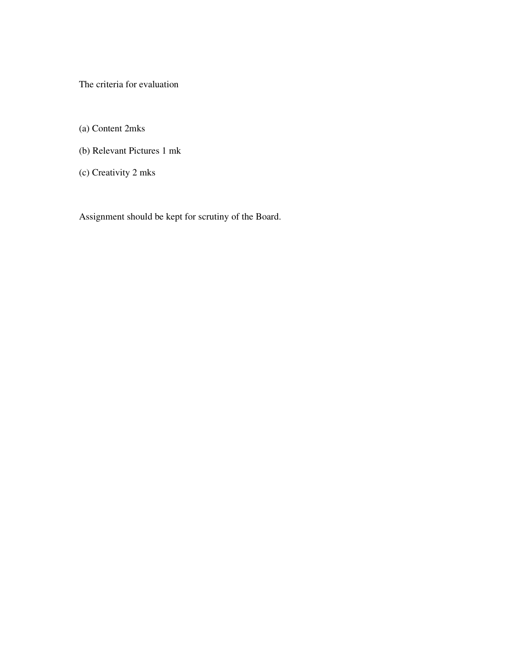The criteria for evaluation

(a) Content 2mks

- (b) Relevant Pictures 1 mk
- (c) Creativity 2 mks

Assignment should be kept for scrutiny of the Board.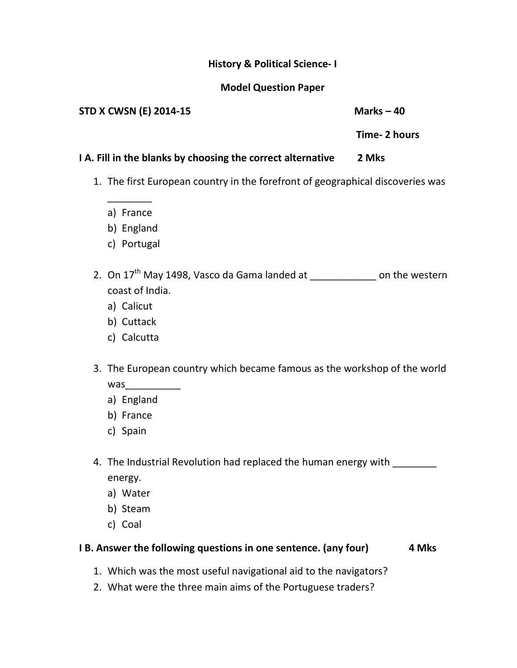#### **History & Political Science- I**

#### **Model Question Paper**

#### **STD X CWSN (E) 2014-15 Marks – 40 Marks – 40 Marks – 40 Marks – 40 Marks – 40 Marks – 40 Marks – 40 Marks – 40 Marks – 40 Marks – 40 Marks – 40 Marks – 40 Marks – 40 Marks – 40 Marks – 40 Marks – 40 Marks – 40 Marks – 40**

#### **Time- 2 hours**

### **I A. Fill in the blanks by choosing the correct alternative 2 Mks**

- 1. The first European country in the forefront of geographical discoveries was
	- \_\_\_\_\_\_\_\_ a) France
	- b) England
	- c) Portugal
- 2. On  $17^{th}$  May 1498, Vasco da Gama landed at \_\_\_\_\_\_\_\_\_\_\_\_\_ on the western coast of India.
	- a) Calicut
	- b) Cuttack
	- c) Calcutta
- 3. The European country which became famous as the workshop of the world was\_\_\_\_\_\_\_\_\_\_
	- a) England
	- b) France
	- c) Spain
- 4. The Industrial Revolution had replaced the human energy with \_\_\_\_\_\_\_\_ energy.
	- a) Water
	- b) Steam
	- c) Coal

#### **I B. Answer the following questions in one sentence. (any four) 4 Mks**

- 1. Which was the most useful navigational aid to the navigators?
- 2. What were the three main aims of the Portuguese traders?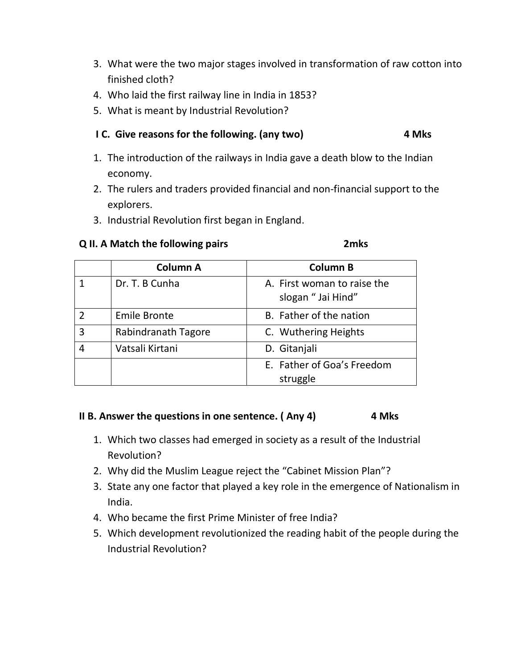- 3. What were the two major stages involved in transformation of raw cotton into finished cloth?
- 4. Who laid the first railway line in India in 1853?
- 5. What is meant by Industrial Revolution?

#### **I C. Give reasons for the following. (any two) 4 Mks**

- 1. The introduction of the railways in India gave a death blow to the Indian economy.
- 2. The rulers and traders provided financial and non-financial support to the explorers.
- 3. Industrial Revolution first began in England.

#### **Q II. A Match the following pairs 2mks**

# **Column A Column B** 1 Dr. T. B Cunha A. First woman to raise the slogan " Jai Hind" 2 | Emile Bronte | B. Father of the nation 3 | Rabindranath Tagore | C. Wuthering Heights 4 Vatsali Kirtani D. Gitanjali E. Father of Goa's Freedom struggle

#### **II B. Answer the questions in one sentence. (Any 4) 4 Mks**

- 1. Which two classes had emerged in society as a result of the Industrial Revolution?
- 2. Why did the Muslim League reject the "Cabinet Mission Plan"?
- 3. State any one factor that played a key role in the emergence of Nationalism in India.
- 4. Who became the first Prime Minister of free India?
- 5. Which development revolutionized the reading habit of the people during the Industrial Revolution?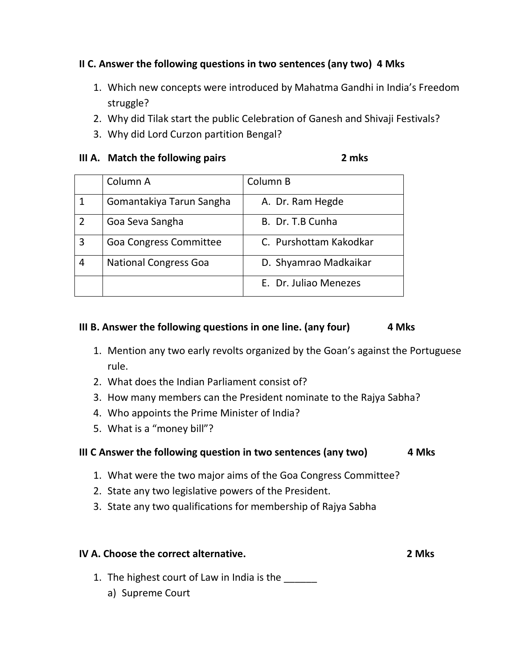# **II C. Answer the following questions in two sentences (any two) 4 Mks**

- 1. Which new concepts were introduced by Mahatma Gandhi in India's Freedom struggle?
- 2. Why did Tilak start the public Celebration of Ganesh and Shivaji Festivals?
- 3. Why did Lord Curzon partition Bengal?

#### **III A.** Match the following pairs **2 mm** 2 mks

|                | Column A                      | Column B               |
|----------------|-------------------------------|------------------------|
|                | Gomantakiya Tarun Sangha      | A. Dr. Ram Hegde       |
| $\overline{2}$ | Goa Seva Sangha               | B. Dr. T.B Cunha       |
| $\overline{3}$ | <b>Goa Congress Committee</b> | C. Purshottam Kakodkar |
|                | <b>National Congress Goa</b>  | D. Shyamrao Madkaikar  |
|                |                               | E. Dr. Juliao Menezes  |

### **III B. Answer the following questions in one line. (any four) 4 Mks**

- 1. Mention any two early revolts organized by the Goan's against the Portuguese rule.
- 2. What does the Indian Parliament consist of?
- 3. How many members can the President nominate to the Rajya Sabha?
- 4. Who appoints the Prime Minister of India?
- 5. What is a "money bill"?

# **III C Answer the following question in two sentences (any two) 4 Mks**

- 1. What were the two major aims of the Goa Congress Committee?
- 2. State any two legislative powers of the President.
- 3. State any two qualifications for membership of Rajya Sabha

# **IV A. Choose the correct alternative. 2 Mks**

- 1. The highest court of Law in India is the
	- a) Supreme Court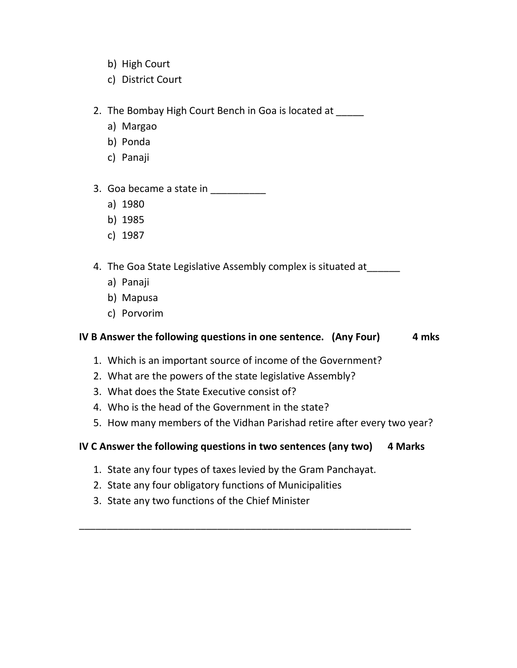- b) High Court
- c) District Court
- 2. The Bombay High Court Bench in Goa is located at \_\_\_\_\_
	- a) Margao
	- b) Ponda
	- c) Panaji
- 3. Goa became a state in \_\_\_\_\_\_\_\_\_\_
	- a) 1980
	- b) 1985
	- c) 1987
- 4. The Goa State Legislative Assembly complex is situated at
	- a) Panaji
	- b) Mapusa
	- c) Porvorim

#### **IV B Answer the following questions in one sentence. (Any Four) 4 mks**

- 1. Which is an important source of income of the Government?
- 2. What are the powers of the state legislative Assembly?
- 3. What does the State Executive consist of?
- 4. Who is the head of the Government in the state?
- 5. How many members of the Vidhan Parishad retire after every two year?

#### **IV C Answer the following questions in two sentences (any two) 4 Marks**

\_\_\_\_\_\_\_\_\_\_\_\_\_\_\_\_\_\_\_\_\_\_\_\_\_\_\_\_\_\_\_\_\_\_\_\_\_\_\_\_\_\_\_\_\_\_\_\_\_\_\_\_\_\_\_\_\_\_\_\_

- 1. State any four types of taxes levied by the Gram Panchayat.
- 2. State any four obligatory functions of Municipalities
- 3. State any two functions of the Chief Minister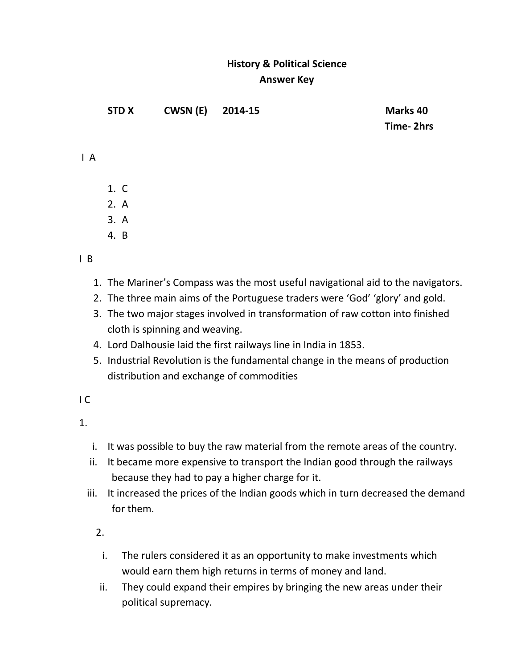# **History & Political Science Answer Key**

| <b>STDX</b> | CWSN (E) | 2014-15 |
|-------------|----------|---------|
|-------------|----------|---------|

**Marks 40 Time- 2hrs** 

I A

- 1. C
- 2. A
- 3. A
- 4. B

I B

- 1. The Mariner's Compass was the most useful navigational aid to the navigators.
- 2. The three main aims of the Portuguese traders were 'God' 'glory' and gold.
- 3. The two major stages involved in transformation of raw cotton into finished cloth is spinning and weaving.
- 4. Lord Dalhousie laid the first railways line in India in 1853.
- 5. Industrial Revolution is the fundamental change in the means of production distribution and exchange of commodities
- I C
- 1.
	- i. It was possible to buy the raw material from the remote areas of the country.
	- ii. It became more expensive to transport the Indian good through the railways because they had to pay a higher charge for it.
	- iii. It increased the prices of the Indian goods which in turn decreased the demand for them.
		- 2.
			- i. The rulers considered it as an opportunity to make investments which would earn them high returns in terms of money and land.
		- ii. They could expand their empires by bringing the new areas under their political supremacy.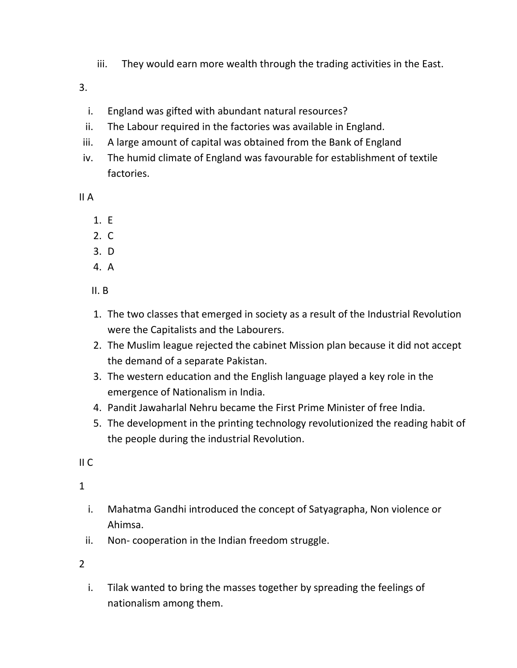- iii. They would earn more wealth through the trading activities in the East.
- 3.
	- i. England was gifted with abundant natural resources?
	- ii. The Labour required in the factories was available in England.
- iii. A large amount of capital was obtained from the Bank of England
- iv. The humid climate of England was favourable for establishment of textile factories.

II A

- 1. E
- 2. C
- 3. D
- 4. A
- II. B
- 1. The two classes that emerged in society as a result of the Industrial Revolution were the Capitalists and the Labourers.
- 2. The Muslim league rejected the cabinet Mission plan because it did not accept the demand of a separate Pakistan.
- 3. The western education and the English language played a key role in the emergence of Nationalism in India.
- 4. Pandit Jawaharlal Nehru became the First Prime Minister of free India.
- 5. The development in the printing technology revolutionized the reading habit of the people during the industrial Revolution.

 $II<sub>C</sub>$ 

1

- i. Mahatma Gandhi introduced the concept of Satyagrapha, Non violence or Ahimsa.
- ii. Non- cooperation in the Indian freedom struggle.

 $\mathcal{L}$ 

i. Tilak wanted to bring the masses together by spreading the feelings of nationalism among them.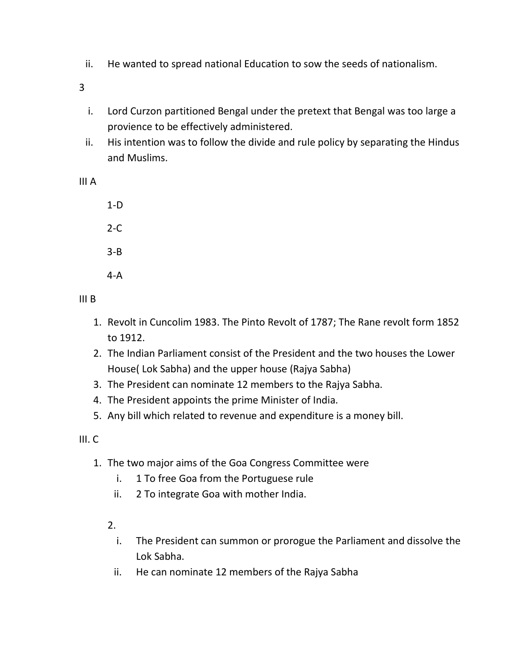- ii. He wanted to spread national Education to sow the seeds of nationalism.
- 3
	- i. Lord Curzon partitioned Bengal under the pretext that Bengal was too large a provience to be effectively administered.
	- ii. His intention was to follow the divide and rule policy by separating the Hindus and Muslims.

III A

1-D

2-C

- 3-B
- 4-A

III B

- 1. Revolt in Cuncolim 1983. The Pinto Revolt of 1787; The Rane revolt form 1852 to 1912.
- 2. The Indian Parliament consist of the President and the two houses the Lower House( Lok Sabha) and the upper house (Rajya Sabha)
- 3. The President can nominate 12 members to the Rajya Sabha.
- 4. The President appoints the prime Minister of India.
- 5. Any bill which related to revenue and expenditure is a money bill.

 $III. C.$ 

- 1. The two major aims of the Goa Congress Committee were
	- i. 1 To free Goa from the Portuguese rule
	- ii. 2 To integrate Goa with mother India.

# 2.

- i. The President can summon or prorogue the Parliament and dissolve the Lok Sabha.
- ii. He can nominate 12 members of the Rajya Sabha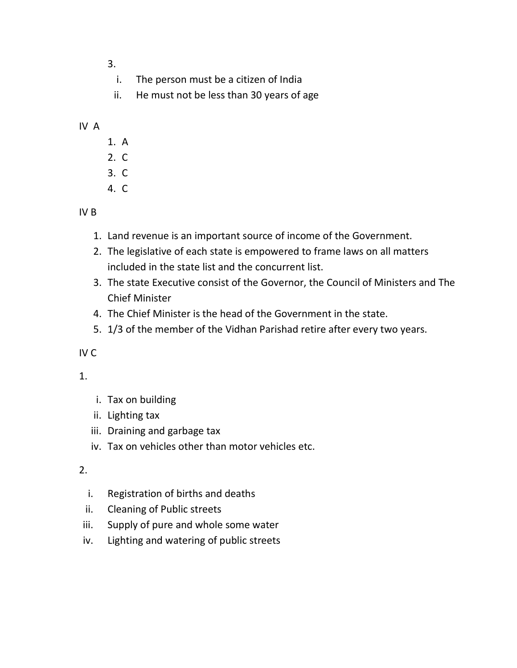- 3.
	- i. The person must be a citizen of India
	- ii. He must not be less than 30 years of age

### IV A

- 1. A
- 2. C
- 3. C
- 4. C

# IV B

- 1. Land revenue is an important source of income of the Government.
- 2. The legislative of each state is empowered to frame laws on all matters included in the state list and the concurrent list.
- 3. The state Executive consist of the Governor, the Council of Ministers and The Chief Minister
- 4. The Chief Minister is the head of the Government in the state.
- 5. 1/3 of the member of the Vidhan Parishad retire after every two years.

# IV C

# 1.

- i. Tax on building
- ii. Lighting tax
- iii. Draining and garbage tax
- iv. Tax on vehicles other than motor vehicles etc.

# 2.

- i. Registration of births and deaths
- ii. Cleaning of Public streets
- iii. Supply of pure and whole some water
- iv. Lighting and watering of public streets